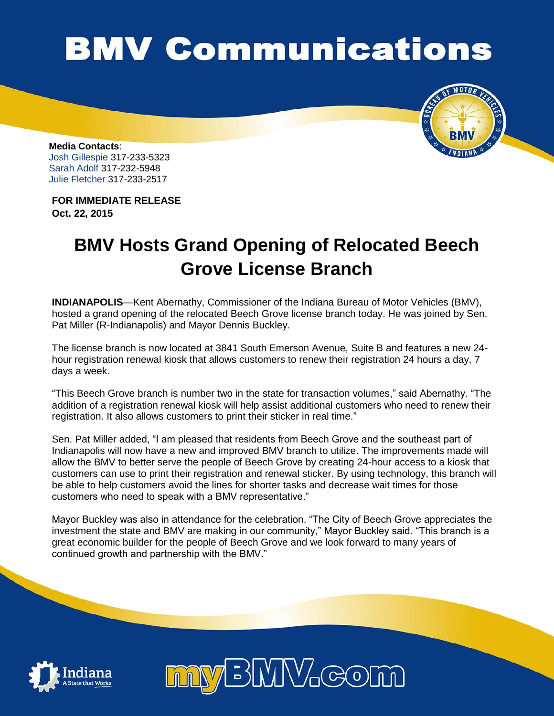## **BMV Communications**



**Media Contacts**: [Josh Gillespie](mailto:jogillespie@bmv.in.gov) 317-233-5323 [Sarah Adolf](mailto:saadolf@bmv.in.gov) 317-232-5948 [Julie Fletcher](mailto:jufletcher@bmv.in.gov) 317-233-2517

**FOR IMMEDIATE RELEASE Oct. 22, 2015**

## **BMV Hosts Grand Opening of Relocated Beech Grove License Branch**

**INDIANAPOLIS**—Kent Abernathy, Commissioner of the Indiana Bureau of Motor Vehicles (BMV), hosted a grand opening of the relocated Beech Grove license branch today. He was joined by Sen. Pat Miller (R-Indianapolis) and Mayor Dennis Buckley.

The license branch is now located at 3841 South Emerson Avenue, Suite B and features a new 24 hour registration renewal kiosk that allows customers to renew their registration 24 hours a day, 7 days a week.

"This Beech Grove branch is number two in the state for transaction volumes," said Abernathy. "The addition of a registration renewal kiosk will help assist additional customers who need to renew their registration. It also allows customers to print their sticker in real time."

Sen. Pat Miller added, "I am pleased that residents from Beech Grove and the southeast part of Indianapolis will now have a new and improved BMV branch to utilize. The improvements made will allow the BMV to better serve the people of Beech Grove by creating 24-hour access to a kiosk that customers can use to print their registration and renewal sticker. By using technology, this branch will be able to help customers avoid the lines for shorter tasks and decrease wait times for those customers who need to speak with a BMV representative."

Mayor Buckley was also in attendance for the celebration. "The City of Beech Grove appreciates the investment the state and BMV are making in our community," Mayor Buckley said. "This branch is a great economic builder for the people of Beech Grove and we look forward to many years of continued growth and partnership with the BMV."